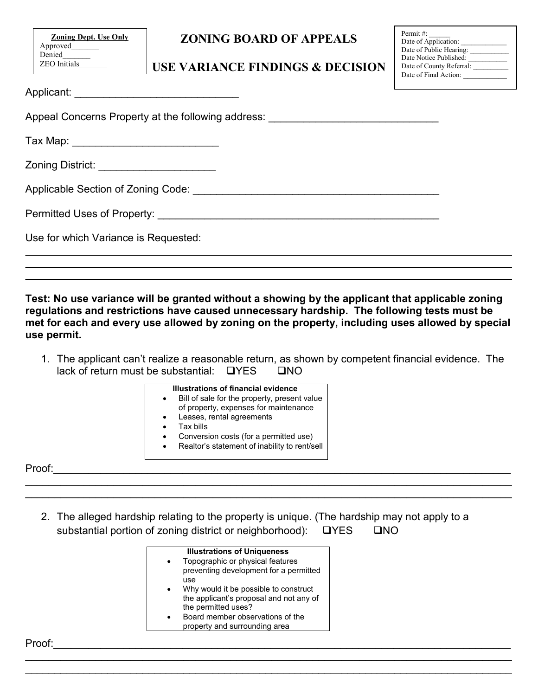**Zoning Dept. Use Only** Approved\_\_\_\_\_\_\_ Denied ZEO Initials\_\_\_\_\_\_\_

# **ZONING BOARD OF APPEALS**

## **USE VARIANCE FINDINGS & DECISION**

| Permit $\#$ :            |
|--------------------------|
| Date of Application:     |
| Date of Public Hearing:  |
| Date Notice Published:   |
| Date of County Referral: |
| Date of Final Action:    |

| Applicant: |  |  |  |  |  |
|------------|--|--|--|--|--|
|            |  |  |  |  |  |

Appeal Concerns Property at the following address:

Tax Map: \_\_\_\_\_\_\_\_\_\_\_\_\_\_\_\_\_\_\_\_\_\_\_\_\_

Zoning District: **Example 20** 

Applicable Section of Zoning Code:  $\Box$ 

Permitted Uses of Property: **We are also asset that the example of Property:**  $\blacksquare$ 

Use for which Variance is Requested:

**Test: No use variance will be granted without a showing by the applicant that applicable zoning regulations and restrictions have caused unnecessary hardship. The following tests must be met for each and every use allowed by zoning on the property, including uses allowed by special use permit.**

\_\_\_\_\_\_\_\_\_\_\_\_\_\_\_\_\_\_\_\_\_\_\_\_\_\_\_\_\_\_\_\_\_\_\_\_\_\_\_\_\_\_\_\_\_\_\_\_\_\_\_\_\_\_\_\_\_\_\_\_\_\_\_\_\_\_\_\_\_\_\_\_\_\_\_\_\_\_\_\_\_\_\_ \_\_\_\_\_\_\_\_\_\_\_\_\_\_\_\_\_\_\_\_\_\_\_\_\_\_\_\_\_\_\_\_\_\_\_\_\_\_\_\_\_\_\_\_\_\_\_\_\_\_\_\_\_\_\_\_\_\_\_\_\_\_\_\_\_\_\_\_\_\_\_\_\_\_\_\_\_\_\_\_\_\_\_ \_\_\_\_\_\_\_\_\_\_\_\_\_\_\_\_\_\_\_\_\_\_\_\_\_\_\_\_\_\_\_\_\_\_\_\_\_\_\_\_\_\_\_\_\_\_\_\_\_\_\_\_\_\_\_\_\_\_\_\_\_\_\_\_\_\_\_\_\_\_\_\_\_\_\_\_\_\_\_\_\_\_\_

1. The applicant can't realize a reasonable return, as shown by competent financial evidence. The lack of return must be substantial:  $\Box$  YES  $\Box$  NO

#### **Illustrations of financial evidence**

- Bill of sale for the property, present value of property, expenses for maintenance
- Leases, rental agreements
- Tax bills
- Conversion costs (for a permitted use)
- Realtor's statement of inability to rent/sell

Proof:\_\_\_\_\_\_\_\_\_\_\_\_\_\_\_\_\_\_\_\_\_\_\_\_\_\_\_\_\_\_\_\_\_\_\_\_\_\_\_\_\_\_\_\_\_\_\_\_\_\_\_\_\_\_\_\_\_\_\_\_\_\_\_\_\_\_\_\_\_\_\_\_\_\_\_\_\_\_

2. The alleged hardship relating to the property is unique. (The hardship may not apply to a substantial portion of zoning district or neighborhood):  $\Box$  YES  $\Box$  NO

\_\_\_\_\_\_\_\_\_\_\_\_\_\_\_\_\_\_\_\_\_\_\_\_\_\_\_\_\_\_\_\_\_\_\_\_\_\_\_\_\_\_\_\_\_\_\_\_\_\_\_\_\_\_\_\_\_\_\_\_\_\_\_\_\_\_\_\_\_\_\_\_\_\_\_\_\_\_\_\_\_\_\_ \_\_\_\_\_\_\_\_\_\_\_\_\_\_\_\_\_\_\_\_\_\_\_\_\_\_\_\_\_\_\_\_\_\_\_\_\_\_\_\_\_\_\_\_\_\_\_\_\_\_\_\_\_\_\_\_\_\_\_\_\_\_\_\_\_\_\_\_\_\_\_\_\_\_\_\_\_\_\_\_\_\_\_

\_\_\_\_\_\_\_\_\_\_\_\_\_\_\_\_\_\_\_\_\_\_\_\_\_\_\_\_\_\_\_\_\_\_\_\_\_\_\_\_\_\_\_\_\_\_\_\_\_\_\_\_\_\_\_\_\_\_\_\_\_\_\_\_\_\_\_\_\_\_\_\_\_\_\_\_\_\_\_\_\_\_\_ \_\_\_\_\_\_\_\_\_\_\_\_\_\_\_\_\_\_\_\_\_\_\_\_\_\_\_\_\_\_\_\_\_\_\_\_\_\_\_\_\_\_\_\_\_\_\_\_\_\_\_\_\_\_\_\_\_\_\_\_\_\_\_\_\_\_\_\_\_\_\_\_\_\_\_\_\_\_\_\_\_\_\_

| <b>Illustrations of Uniqueness</b>                                         |
|----------------------------------------------------------------------------|
| Topographic or physical features<br>preventing development for a permitted |
| use                                                                        |
| Why would it be possible to construct                                      |
| the applicant's proposal and not any of                                    |
| the permitted uses?                                                        |
| Board member observations of the                                           |
| property and surrounding area                                              |

Proof:\_\_\_\_\_\_\_\_\_\_\_\_\_\_\_\_\_\_\_\_\_\_\_\_\_\_\_\_\_\_\_\_\_\_\_\_\_\_\_\_\_\_\_\_\_\_\_\_\_\_\_\_\_\_\_\_\_\_\_\_\_\_\_\_\_\_\_\_\_\_\_\_\_\_\_\_\_\_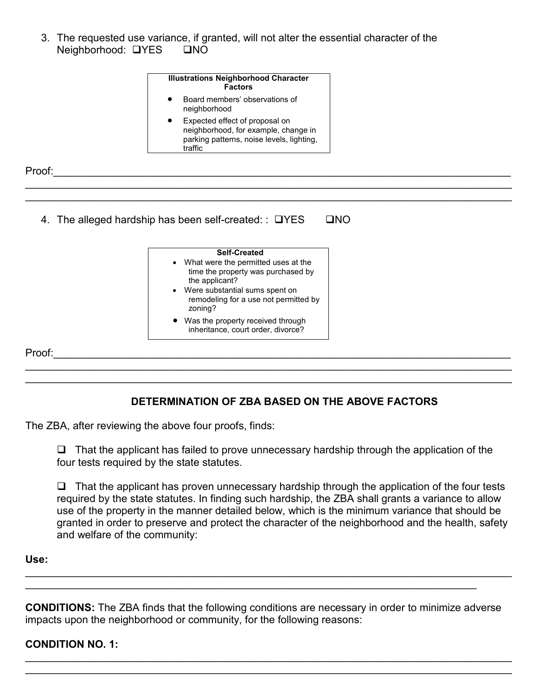3. The requested use variance, if granted, will not alter the essential character of the Neighborhood: UYES UNO

| <b>Illustrations Neighborhood Character</b><br><b>Factors</b>                                                                  |
|--------------------------------------------------------------------------------------------------------------------------------|
| Board members' observations of<br>neighborhood                                                                                 |
| Expected effect of proposal on<br>neighborhood, for example, change in<br>parking patterns, noise levels, lighting,<br>traffic |

\_\_\_\_\_\_\_\_\_\_\_\_\_\_\_\_\_\_\_\_\_\_\_\_\_\_\_\_\_\_\_\_\_\_\_\_\_\_\_\_\_\_\_\_\_\_\_\_\_\_\_\_\_\_\_\_\_\_\_\_\_\_\_\_\_\_\_\_\_\_\_\_\_\_\_\_\_\_\_\_\_\_\_ \_\_\_\_\_\_\_\_\_\_\_\_\_\_\_\_\_\_\_\_\_\_\_\_\_\_\_\_\_\_\_\_\_\_\_\_\_\_\_\_\_\_\_\_\_\_\_\_\_\_\_\_\_\_\_\_\_\_\_\_\_\_\_\_\_\_\_\_\_\_\_\_\_\_\_\_\_\_\_\_\_\_\_

Proof:\_\_\_\_\_\_\_\_\_\_\_\_\_\_\_\_\_\_\_\_\_\_\_\_\_\_\_\_\_\_\_\_\_\_\_\_\_\_\_\_\_\_\_\_\_\_\_\_\_\_\_\_\_\_\_\_\_\_\_\_\_\_\_\_\_\_\_\_\_\_\_\_\_\_\_\_\_\_

4. The alleged hardship has been self-created: :  $\Box$ YES  $\Box$ NO

| <b>Self-Created</b>                                                                                                                                                                   |
|---------------------------------------------------------------------------------------------------------------------------------------------------------------------------------------|
| • What were the permitted uses at the<br>time the property was purchased by<br>the applicant?<br>• Were substantial sums spent on<br>remodeling for a use not permitted by<br>zoning? |
| • Was the property received through<br>inheritance, court order, divorce?                                                                                                             |

Proof:\_\_\_\_\_\_\_\_\_\_\_\_\_\_\_\_\_\_\_\_\_\_\_\_\_\_\_\_\_\_\_\_\_\_\_\_\_\_\_\_\_\_\_\_\_\_\_\_\_\_\_\_\_\_\_\_\_\_\_\_\_\_\_\_\_\_\_\_\_\_\_\_\_\_\_\_\_\_

# **DETERMINATION OF ZBA BASED ON THE ABOVE FACTORS**

\_\_\_\_\_\_\_\_\_\_\_\_\_\_\_\_\_\_\_\_\_\_\_\_\_\_\_\_\_\_\_\_\_\_\_\_\_\_\_\_\_\_\_\_\_\_\_\_\_\_\_\_\_\_\_\_\_\_\_\_\_\_\_\_\_\_\_\_\_\_\_\_\_\_\_\_\_\_\_\_\_\_\_ \_\_\_\_\_\_\_\_\_\_\_\_\_\_\_\_\_\_\_\_\_\_\_\_\_\_\_\_\_\_\_\_\_\_\_\_\_\_\_\_\_\_\_\_\_\_\_\_\_\_\_\_\_\_\_\_\_\_\_\_\_\_\_\_\_\_\_\_\_\_\_\_\_\_\_\_\_\_\_\_\_\_\_

The ZBA, after reviewing the above four proofs, finds:

 $\Box$  That the applicant has failed to prove unnecessary hardship through the application of the four tests required by the state statutes.

 $\Box$  That the applicant has proven unnecessary hardship through the application of the four tests required by the state statutes. In finding such hardship, the ZBA shall grants a variance to allow use of the property in the manner detailed below, which is the minimum variance that should be granted in order to preserve and protect the character of the neighborhood and the health, safety and welfare of the community:

### **Use:**

**CONDITIONS:** The ZBA finds that the following conditions are necessary in order to minimize adverse impacts upon the neighborhood or community, for the following reasons:

\_\_\_\_\_\_\_\_\_\_\_\_\_\_\_\_\_\_\_\_\_\_\_\_\_\_\_\_\_\_\_\_\_\_\_\_\_\_\_\_\_\_\_\_\_\_\_\_\_\_\_\_\_\_\_\_\_\_\_\_\_\_\_\_\_\_\_\_\_\_\_\_\_\_\_\_\_\_\_\_\_\_\_ \_\_\_\_\_\_\_\_\_\_\_\_\_\_\_\_\_\_\_\_\_\_\_\_\_\_\_\_\_\_\_\_\_\_\_\_\_\_\_\_\_\_\_\_\_\_\_\_\_\_\_\_\_\_\_\_\_\_\_\_\_\_\_\_\_\_\_\_\_\_\_\_\_\_\_\_\_\_\_\_\_\_\_

\_\_\_\_\_\_\_\_\_\_\_\_\_\_\_\_\_\_\_\_\_\_\_\_\_\_\_\_\_\_\_\_\_\_\_\_\_\_\_\_\_\_\_\_\_\_\_\_\_\_\_\_\_\_\_\_\_\_\_\_\_\_\_\_\_\_\_\_\_\_\_\_\_\_\_\_\_

\_\_\_\_\_\_\_\_\_\_\_\_\_\_\_\_\_\_\_\_\_\_\_\_\_\_\_\_\_\_\_\_\_\_\_\_\_\_\_\_\_\_\_\_\_\_\_\_\_\_\_\_\_\_\_\_\_\_\_\_\_\_\_\_\_\_\_\_\_\_\_\_\_\_\_\_\_\_\_\_\_\_\_

### **CONDITION NO. 1:**